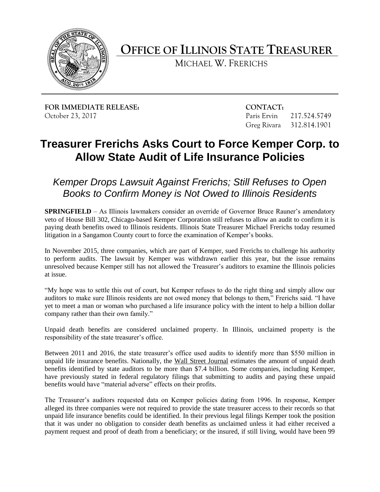

**OFFICE OF ILLINOIS STATE TREASURER** 

MICHAEL W. FRERICHS

**FOR IMMEDIATE RELEASE:** CONTACT: October 23, 2017 Paris Ervin 217.524.5749

Greg Rivara 312.814.1901

## **Treasurer Frerichs Asks Court to Force Kemper Corp. to Allow State Audit of Life Insurance Policies**

 *Books to Confirm Money is Not Owed to Illinois Residents Kemper Drops Lawsuit Against Frerichs; Still Refuses to Open* 

 **SPRINGFIELD** – As Illinois lawmakers consider an override of Governor Bruce Rauner's amendatory veto of House Bill 302, Chicago-based Kemper Corporation still refuses to allow an audit to confirm it is paying death benefits owed to Illinois residents. Illinois State Treasurer Michael Frerichs today resumed litigation in a Sangamon County court to force the examination of Kemper's books.

 In November 2015, three companies, which are part of Kemper, sued Frerichs to challenge his authority to perform audits. The lawsuit by Kemper was withdrawn earlier this year, but the issue remains unresolved because Kemper still has not allowed the Treasurer's auditors to examine the Illinois policies at issue.

 "My hope was to settle this out of court, but Kemper refuses to do the right thing and simply allow our auditors to make sure Illinois residents are not owed money that belongs to them," Frerichs said. "I have yet to meet a man or woman who purchased a life insurance policy with the intent to help a billion dollar company rather than their own family."

 Unpaid death benefits are considered unclaimed property. In Illinois, unclaimed property is the responsibility of the state treasurer's office.

unpaid life insurance benefits. Nationally, the Wall Street Journal estimates the amount of unpaid death benefits identified by state auditors to be more than \$7.4 billion. Some companies, including Kemper, have previously stated in federal regulatory filings that submitting to audits and paying these unpaid Between 2011 and 2016, the state treasurer's office used audits to identify more than \$550 million in benefits would have "material adverse" effects on their profits.

 The Treasurer's auditors requested data on Kemper policies dating from 1996. In response, Kemper alleged its three companies were not required to provide the state treasurer access to their records so that unpaid life insurance benefits could be identified. In their previous legal filings Kemper took the position that it was under no obligation to consider death benefits as unclaimed unless it had either received a payment request and proof of death from a beneficiary; or the insured, if still living, would have been 99